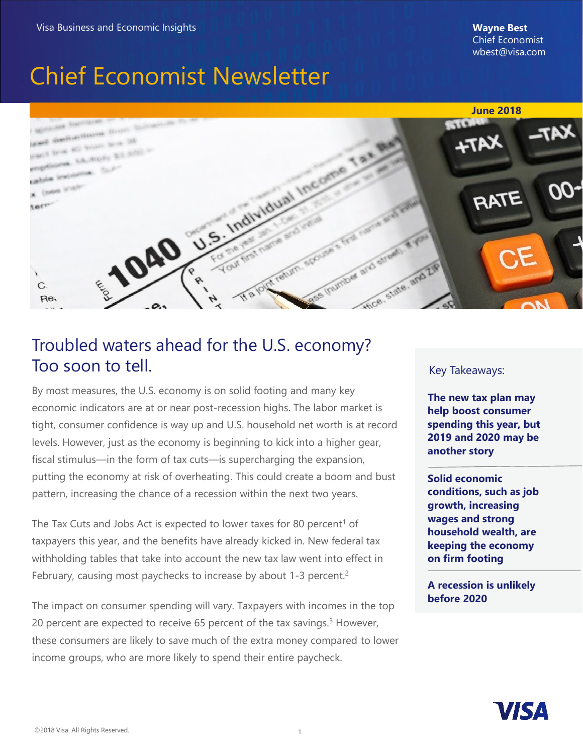# Chief Economist Newsletter



### Troubled waters ahead for the U.S. economy? Too soon to tell.

By most measures, the U.S. economy is on solid footing and many key economic indicators are at or near post-recession highs. The labor market is tight, consumer confidence is way up and U.S. household net worth is at record levels. However, just as the economy is beginning to kick into a higher gear, fiscal stimulus—in the form of tax cuts—is supercharging the expansion, putting the economy at risk of overheating. This could create a boom and bust pattern, increasing the chance of a recession within the next two years.

The Tax Cuts and Jobs Act is expected to lower taxes for 80 percent<sup>1</sup> of taxpayers this year, and the benefits have already kicked in. New federal tax withholding tables that take into account the new tax law went into effect in February, causing most paychecks to increase by about 1-3 percent.<sup>2</sup>

The impact on consumer spending will vary. Taxpayers with incomes in the top 20 percent are expected to receive 65 percent of the tax savings. $3$  However, these consumers are likely to save much of the extra money compared to lower income groups, who are more likely to spend their entire paycheck.

#### Key Takeaways:

**The new tax plan may help boost consumer spending this year, but 2019 and 2020 may be another story**

**Solid economic conditions, such as job growth, increasing wages and strong household wealth, are keeping the economy on firm footing**

**A recession is unlikely before 2020**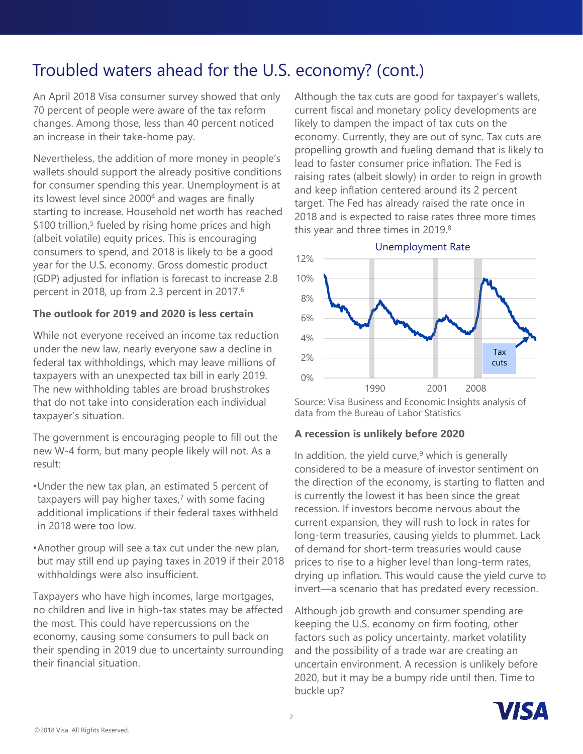## Troubled waters ahead for the U.S. economy? (cont.)

An April 2018 Visa consumer survey showed that only 70 percent of people were aware of the tax reform changes. Among those, less than 40 percent noticed an increase in their take-home pay.

Nevertheless, the addition of more money in people's wallets should support the already positive conditions for consumer spending this year. Unemployment is at its lowest level since 2000<sup>4</sup> and wages are finally starting to increase. Household net worth has reached \$100 trillion,<sup>5</sup> fueled by rising home prices and high (albeit volatile) equity prices. This is encouraging consumers to spend, and 2018 is likely to be a good year for the U.S. economy. Gross domestic product (GDP) adjusted for inflation is forecast to increase 2.8 percent in 2018, up from 2.3 percent in 2017.<sup>6</sup>

#### **The outlook for 2019 and 2020 is less certain**

While not everyone received an income tax reduction under the new law, nearly everyone saw a decline in federal tax withholdings, which may leave millions of taxpayers with an unexpected tax bill in early 2019. The new withholding tables are broad brushstrokes that do not take into consideration each individual taxpayer's situation.

The government is encouraging people to fill out the new W-4 form, but many people likely will not. As a result:

- •Under the new tax plan, an estimated 5 percent of taxpayers will pay higher taxes,<sup>7</sup> with some facing additional implications if their federal taxes withheld in 2018 were too low.
- •Another group will see a tax cut under the new plan, but may still end up paying taxes in 2019 if their 2018 withholdings were also insufficient.

Taxpayers who have high incomes, large mortgages, no children and live in high-tax states may be affected the most. This could have repercussions on the economy, causing some consumers to pull back on their spending in 2019 due to uncertainty surrounding their financial situation.

Although the tax cuts are good for taxpayer's wallets, current fiscal and monetary policy developments are likely to dampen the impact of tax cuts on the economy. Currently, they are out of sync. Tax cuts are propelling growth and fueling demand that is likely to lead to faster consumer price inflation. The Fed is raising rates (albeit slowly) in order to reign in growth and keep inflation centered around its 2 percent target. The Fed has already raised the rate once in 2018 and is expected to raise rates three more times this year and three times in 2019.<sup>8</sup>



Source: Visa Business and Economic Insights analysis of data from the Bureau of Labor Statistics

#### **A recession is unlikely before 2020**

In addition, the yield curve, $9$  which is generally considered to be a measure of investor sentiment on the direction of the economy, is starting to flatten and is currently the lowest it has been since the great recession. If investors become nervous about the current expansion, they will rush to lock in rates for long-term treasuries, causing yields to plummet. Lack of demand for short-term treasuries would cause prices to rise to a higher level than long-term rates, drying up inflation. This would cause the yield curve to invert—a scenario that has predated every recession.

Although job growth and consumer spending are keeping the U.S. economy on firm footing, other factors such as policy uncertainty, market volatility and the possibility of a trade war are creating an uncertain environment. A recession is unlikely before 2020, but it may be a bumpy ride until then. Time to buckle up?